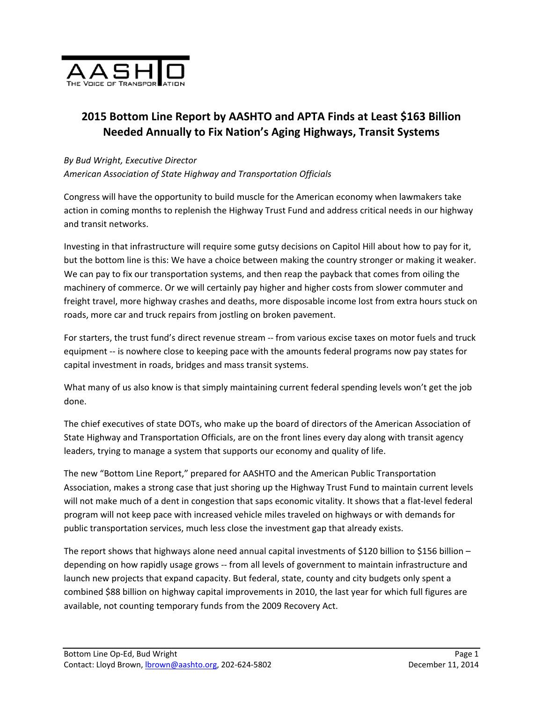

## **2015 Bottom Line Report by AASHTO and APTA Finds at Least \$163 Billion Needed Annually to Fix Nation's Aging Highways, Transit Systems**

## *By Bud Wright, Executive Director*

*American Association of State Highway and Transportation Officials*

Congress will have the opportunity to build muscle for the American economy when lawmakers take action in coming months to replenish the Highway Trust Fund and address critical needs in our highway and transit networks.

Investing in that infrastructure will require some gutsy decisions on Capitol Hill about how to pay for it, but the bottom line is this: We have a choice between making the country stronger or making it weaker. We can pay to fix our transportation systems, and then reap the payback that comes from oiling the machinery of commerce. Or we will certainly pay higher and higher costs from slower commuter and freight travel, more highway crashes and deaths, more disposable income lost from extra hours stuck on roads, more car and truck repairs from jostling on broken pavement.

For starters, the trust fund's direct revenue stream ‐‐ from various excise taxes on motor fuels and truck equipment -- is nowhere close to keeping pace with the amounts federal programs now pay states for capital investment in roads, bridges and mass transit systems.

What many of us also know is that simply maintaining current federal spending levels won't get the job done.

The chief executives of state DOTs, who make up the board of directors of the American Association of State Highway and Transportation Officials, are on the front lines every day along with transit agency leaders, trying to manage a system that supports our economy and quality of life.

The new "Bottom Line Report," prepared for AASHTO and the American Public Transportation Association, makes a strong case that just shoring up the Highway Trust Fund to maintain current levels will not make much of a dent in congestion that saps economic vitality. It shows that a flat-level federal program will not keep pace with increased vehicle miles traveled on highways or with demands for public transportation services, much less close the investment gap that already exists.

The report shows that highways alone need annual capital investments of \$120 billion to \$156 billion – depending on how rapidly usage grows ‐‐ from all levels of government to maintain infrastructure and launch new projects that expand capacity. But federal, state, county and city budgets only spent a combined \$88 billion on highway capital improvements in 2010, the last year for which full figures are available, not counting temporary funds from the 2009 Recovery Act.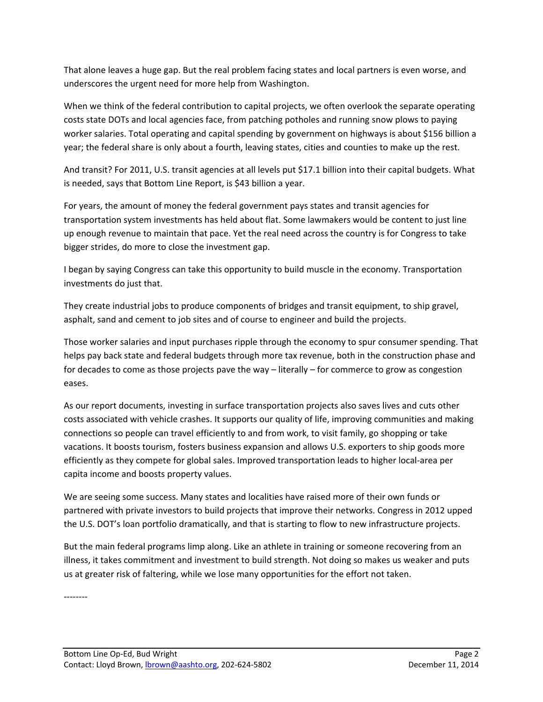That alone leaves a huge gap. But the real problem facing states and local partners is even worse, and underscores the urgent need for more help from Washington.

When we think of the federal contribution to capital projects, we often overlook the separate operating costs state DOTs and local agencies face, from patching potholes and running snow plows to paying worker salaries. Total operating and capital spending by government on highways is about \$156 billion a year; the federal share is only about a fourth, leaving states, cities and counties to make up the rest.

And transit? For 2011, U.S. transit agencies at all levels put \$17.1 billion into their capital budgets. What is needed, says that Bottom Line Report, is \$43 billion a year.

For years, the amount of money the federal government pays states and transit agencies for transportation system investments has held about flat. Some lawmakers would be content to just line up enough revenue to maintain that pace. Yet the real need across the country is for Congress to take bigger strides, do more to close the investment gap.

I began by saying Congress can take this opportunity to build muscle in the economy. Transportation investments do just that.

They create industrial jobs to produce components of bridges and transit equipment, to ship gravel, asphalt, sand and cement to job sites and of course to engineer and build the projects.

Those worker salaries and input purchases ripple through the economy to spur consumer spending. That helps pay back state and federal budgets through more tax revenue, both in the construction phase and for decades to come as those projects pave the way – literally – for commerce to grow as congestion eases.

As our report documents, investing in surface transportation projects also saves lives and cuts other costs associated with vehicle crashes. It supports our quality of life, improving communities and making connections so people can travel efficiently to and from work, to visit family, go shopping or take vacations. It boosts tourism, fosters business expansion and allows U.S. exporters to ship goods more efficiently as they compete for global sales. Improved transportation leads to higher local‐area per capita income and boosts property values.

We are seeing some success. Many states and localities have raised more of their own funds or partnered with private investors to build projects that improve their networks. Congress in 2012 upped the U.S. DOT's loan portfolio dramatically, and that is starting to flow to new infrastructure projects.

But the main federal programs limp along. Like an athlete in training or someone recovering from an illness, it takes commitment and investment to build strength. Not doing so makes us weaker and puts us at greater risk of faltering, while we lose many opportunities for the effort not taken.

‐‐‐‐‐‐‐‐